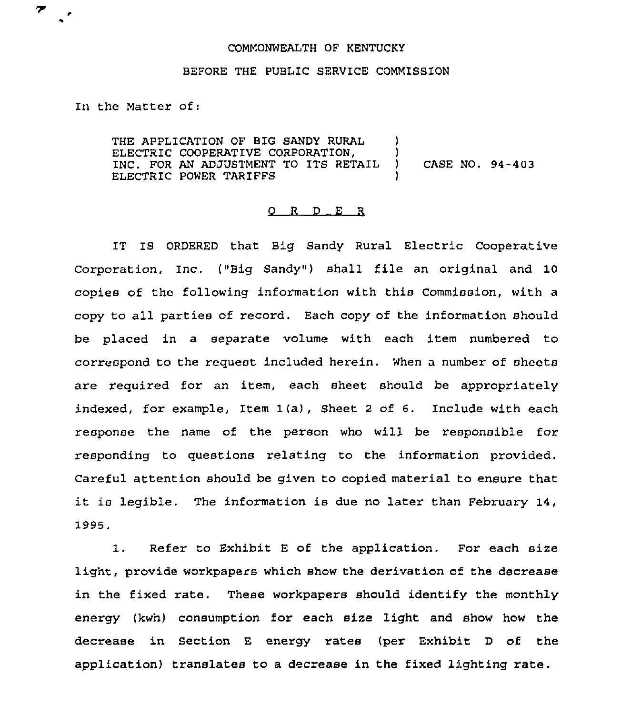## COMMONWEALTH OF KENTUCKY

## BEFORE THE PUBLIC SERVICE COMMISSION

In the Matter of:

 $\overline{\mathcal{F}}$ 

THE APPLICATION OF BIG SANDY RURAL ELECTRIC COOPERATIVE CORPORATION, (2008)<br>TNC FOR AN ADJUSTMENT TO ITS RETAIL (3) INC. FOR AN ADJUSTMENT TO ITS RETAIL ) CASE NO. 94-403 ELECTRIC POWER TARIFFS

## 0 <sup>R</sup> <sup>D</sup> E <sup>R</sup>

IT IS ORDERED that Big Sandy Rural Electric Cooperative Corporation, Inc. ("Big Sandy") shall file an original and 10 copies of the following information with this Commission, with a copy to all parties of record. Each copy of the information should be placed in a separate volume with each item numbered to correspond to the request included herein. When a number of sheets are required for an item, each sheet should be appropriately indexed, for example, Item 1(a), Sheet <sup>2</sup> of 6. Include with each response the name of the person who will be responsible for responding to questions relating to the information provided. Careful attention should be given to copied material to ensure that it is legible. The information is due no later than February 14, 1995.

1. Refer to Exhibit <sup>E</sup> of the application. For each size light, provide workpapers which show the derivation of the decrease in the fixed rate. These workpapers should identify the monthly energy (kwh) consumption for each size light and show how the decrease in Section E energy rates (per Exhibit <sup>D</sup> of the application) translates to a decrease in the fixed lighting rate.